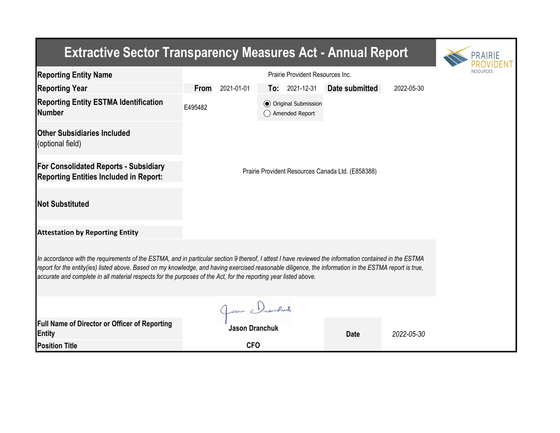| <b>Extractive Sector Transparency Measures Act - Annual Report</b>                                                                                                                                                                                                                                                                                                                                                                    | PRAIRIE                                           |                                                   |                |            |  |  |  |  |  |  |
|---------------------------------------------------------------------------------------------------------------------------------------------------------------------------------------------------------------------------------------------------------------------------------------------------------------------------------------------------------------------------------------------------------------------------------------|---------------------------------------------------|---------------------------------------------------|----------------|------------|--|--|--|--|--|--|
| <b>Reporting Entity Name</b>                                                                                                                                                                                                                                                                                                                                                                                                          |                                                   |                                                   |                |            |  |  |  |  |  |  |
| <b>Reporting Year</b>                                                                                                                                                                                                                                                                                                                                                                                                                 | From<br>2021-01-01                                | $To: 2021-12-31$                                  | Date submitted | 2022-05-30 |  |  |  |  |  |  |
| <b>Reporting Entity ESTMA Identification</b><br><b>Number</b>                                                                                                                                                                                                                                                                                                                                                                         | E495482                                           | <b>⊙</b> Original Submission<br>() Amended Report |                |            |  |  |  |  |  |  |
| <b>Other Subsidiaries Included</b><br>(optional field)                                                                                                                                                                                                                                                                                                                                                                                |                                                   |                                                   |                |            |  |  |  |  |  |  |
| <b>For Consolidated Reports - Subsidiary</b><br><b>Reporting Entities Included in Report:</b>                                                                                                                                                                                                                                                                                                                                         | Prairie Provident Resources Canada Ltd. (E858388) |                                                   |                |            |  |  |  |  |  |  |
| <b>Not Substituted</b>                                                                                                                                                                                                                                                                                                                                                                                                                |                                                   |                                                   |                |            |  |  |  |  |  |  |
| <b>Attestation by Reporting Entity</b>                                                                                                                                                                                                                                                                                                                                                                                                |                                                   |                                                   |                |            |  |  |  |  |  |  |
| In accordance with the requirements of the ESTMA, and in particular section 9 thereof, I attest I have reviewed the information contained in the ESTMA<br>report for the entity(ies) listed above. Based on my knowledge, and having exercised reasonable diligence, the information in the ESTMA report is true,<br>accurate and complete in all material respects for the purposes of the Act, for the reporting year listed above. |                                                   |                                                   |                |            |  |  |  |  |  |  |
|                                                                                                                                                                                                                                                                                                                                                                                                                                       |                                                   |                                                   |                |            |  |  |  |  |  |  |
| <b>Full Name of Director or Officer of Reporting</b><br><b>Entity</b>                                                                                                                                                                                                                                                                                                                                                                 | Jason Dranchuk<br>Jason Dranchuk                  |                                                   | <b>Date</b>    | 2022-05-30 |  |  |  |  |  |  |
| <b>Position Title</b>                                                                                                                                                                                                                                                                                                                                                                                                                 | <b>CFO</b>                                        |                                                   |                |            |  |  |  |  |  |  |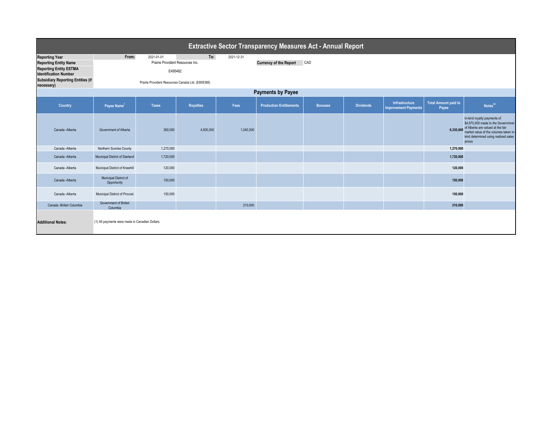| <b>Extractive Sector Transparency Measures Act - Annual Report</b> |                                                |                                                   |                  |            |                                |                |                  |                                                      |                                      |                                                                                                                                                                                                   |  |
|--------------------------------------------------------------------|------------------------------------------------|---------------------------------------------------|------------------|------------|--------------------------------|----------------|------------------|------------------------------------------------------|--------------------------------------|---------------------------------------------------------------------------------------------------------------------------------------------------------------------------------------------------|--|
| <b>Reporting Year</b>                                              | From:                                          | 2021-01-01                                        | To:              | 2021-12-31 |                                |                |                  |                                                      |                                      |                                                                                                                                                                                                   |  |
| <b>Reporting Entity Name</b>                                       |                                                | Prairie Provident Resources Inc.                  |                  |            | <b>Currency of the Report</b>  | CAD            |                  |                                                      |                                      |                                                                                                                                                                                                   |  |
| <b>Reporting Entity ESTMA</b><br><b>Identification Number</b>      | E495482                                        |                                                   |                  |            |                                |                |                  |                                                      |                                      |                                                                                                                                                                                                   |  |
| <b>Subsidiary Reporting Entities (if</b><br>necessary)             |                                                | Prairie Provident Resources Canada Ltd. (E858388) |                  |            |                                |                |                  |                                                      |                                      |                                                                                                                                                                                                   |  |
| <b>Payments by Payee</b>                                           |                                                |                                                   |                  |            |                                |                |                  |                                                      |                                      |                                                                                                                                                                                                   |  |
| Country                                                            | Payee Name <sup>1</sup>                        | <b>Taxes</b>                                      | <b>Royalties</b> | Fees       | <b>Production Entitlements</b> | <b>Bonuses</b> | <b>Dividends</b> | <b>Infrastructure</b><br><b>Improvement Payments</b> | <b>Total Amount paid to</b><br>Payee | Notes <sup>34</sup>                                                                                                                                                                               |  |
| Canada - Alberta                                                   | Government of Alberta                          | 360,000                                           | 4,930,000        | 1,040,000  |                                |                |                  |                                                      | 6,330,000                            | In-kind royalty payments of<br>\$4,670,000 made to the Governmnet<br>of Alberta are valued at the fair<br>market value of the volumes taken in-<br>kind determined using realized sales<br>prices |  |
| Canada -Alberta                                                    | Northern Sunrise County                        | 1,270,000                                         |                  |            |                                |                |                  |                                                      | 1,270,000                            |                                                                                                                                                                                                   |  |
| Canada -Alberta                                                    | Municipal District of Starland                 | 1,720,000                                         |                  |            |                                |                |                  |                                                      | 1,720,000                            |                                                                                                                                                                                                   |  |
| Canada -Alberta                                                    | Municipal District of Kneehill                 | 120,000                                           |                  |            |                                |                |                  |                                                      | 120,000                              |                                                                                                                                                                                                   |  |
| Canada -Alberta                                                    | Municipal District of<br>Opportunity           | 150,000                                           |                  |            |                                |                |                  |                                                      | 150,000                              |                                                                                                                                                                                                   |  |
| Canada -Alberta                                                    | Municipal District of Provost                  | 150,000                                           |                  |            |                                |                |                  |                                                      | 150,000                              |                                                                                                                                                                                                   |  |
| Canada - British Columbia                                          | Government of British<br>Columbia              |                                                   |                  | 210,000    |                                |                |                  |                                                      | 210,000                              |                                                                                                                                                                                                   |  |
| <b>Additional Notes:</b>                                           | (1) All payments were made in Canadian Dollars |                                                   |                  |            |                                |                |                  |                                                      |                                      |                                                                                                                                                                                                   |  |